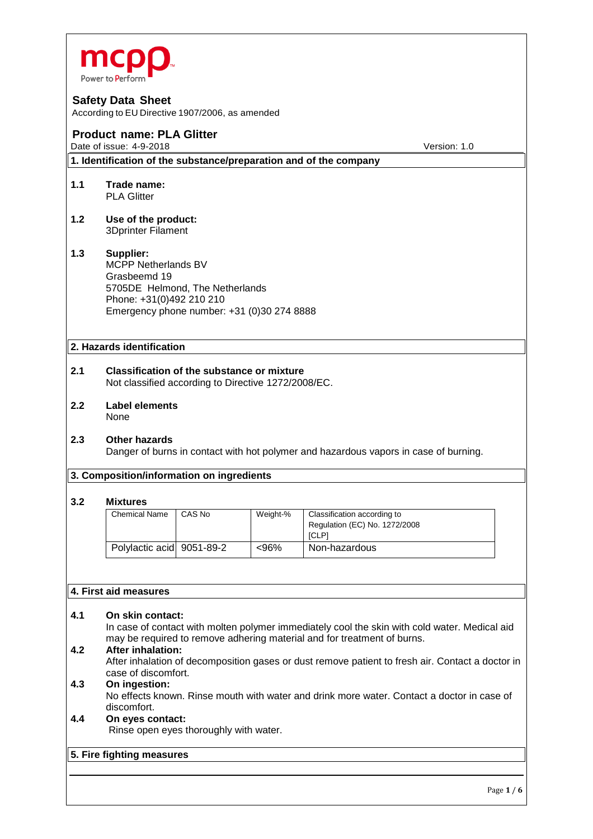

According to EU Directive 1907/2006, as amended

# **Product name: PLA Glitter**

Date of issue: 4-9-2018 **Date of issue: 4-9-2018** Version: 1.0

**1. Identification of the substance/preparation and of the company**

- **1.1 Trade name:** PLA Glitter
- **1.2 Use of the product:** 3Dprinter Filament

#### **1.3 Supplier:** MCPP Netherlands BV Grasbeemd 19 5705DE Helmond, The Netherlands Phone: +31(0)492 210 210 Emergency phone number: +31 (0)30 274 8888

# **2. Hazards identification**

- **2.1 Classification of the substance or mixture** Not classified according to Directive 1272/2008/EC.
- **2.2 Label elements** None
- **2.3 Other hazards** Danger of burns in contact with hot polymer and hazardous vapors in case of burning.

#### **3. Composition/information on ingredients**

#### **3.2 Mixtures**

| <b>Chemical Name</b>      | CAS No | Weight-% | Classification according to<br>Regulation (EC) No. 1272/2008<br><b>ICLPI</b> |
|---------------------------|--------|----------|------------------------------------------------------------------------------|
| Polylactic acid 9051-89-2 |        | $<96\%$  | Non-hazardous                                                                |

#### **4. First aid measures**

# **4.1 On skin contact:**

In case of contact with molten polymer immediately cool the skin with cold water. Medical aid may be required to remove adhering material and for treatment of burns.

# **4.2 After inhalation:**

After inhalation of decomposition gases or dust remove patient to fresh air. Contact a doctor in case of discomfort.

# **4.3 On ingestion:**

No effects known. Rinse mouth with water and drink more water. Contact a doctor in case of discomfort.

# **4.4 On eyes contact:**

Rinse open eyes thoroughly with water.

#### **5. Fire fighting measures**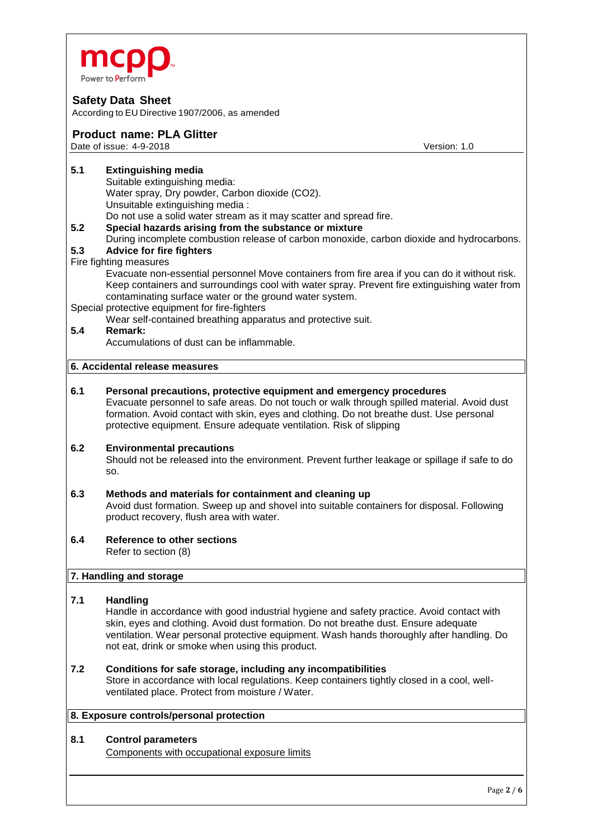

According to EU Directive 1907/2006, as amended

# **Product name: PLA Glitter**

Date of issue: 4-9-2018 **Date of issue: 4-9-2018** Version: 1.0

- **5.1 Extinguishing media** Suitable extinguishing media: Water spray, Dry powder, Carbon dioxide (CO2). Unsuitable extinguishing media : Do not use a solid water stream as it may scatter and spread fire. **5.2 Special hazards arising from the substance or mixture**
- During incomplete combustion release of carbon monoxide, carbon dioxide and hydrocarbons.

# **5.3 Advice for fire fighters**

#### Fire fighting measures

Evacuate non-essential personnel Move containers from fire area if you can do it without risk. Keep containers and surroundings cool with water spray. Prevent fire extinguishing water from contaminating surface water or the ground water system.

Special protective equipment for fire-fighters

Wear self-contained breathing apparatus and protective suit.

# **5.4 Remark:**

Accumulations of dust can be inflammable.

# **6. Accidental release measures**

**6.1 Personal precautions, protective equipment and emergency procedures** Evacuate personnel to safe areas. Do not touch or walk through spilled material. Avoid dust formation. Avoid contact with skin, eyes and clothing. Do not breathe dust. Use personal protective equipment. Ensure adequate ventilation. Risk of slipping

#### **6.2 Environmental precautions**

Should not be released into the environment. Prevent further leakage or spillage if safe to do so.

# **6.3 Methods and materials for containment and cleaning up**

Avoid dust formation. Sweep up and shovel into suitable containers for disposal. Following product recovery, flush area with water.

#### **6.4 Reference to other sections** Refer to section (8)

#### **7. Handling and storage**

#### **7.1 Handling**

Handle in accordance with good industrial hygiene and safety practice. Avoid contact with skin, eyes and clothing. Avoid dust formation. Do not breathe dust. Ensure adequate ventilation. Wear personal protective equipment. Wash hands thoroughly after handling. Do not eat, drink or smoke when using this product.

#### **7.2 Conditions for safe storage, including any incompatibilities**

Store in accordance with local regulations. Keep containers tightly closed in a cool, wellventilated place. Protect from moisture / Water.

## **8. Exposure controls/personal protection**

#### **8.1 Control parameters**

Components with occupational exposure limits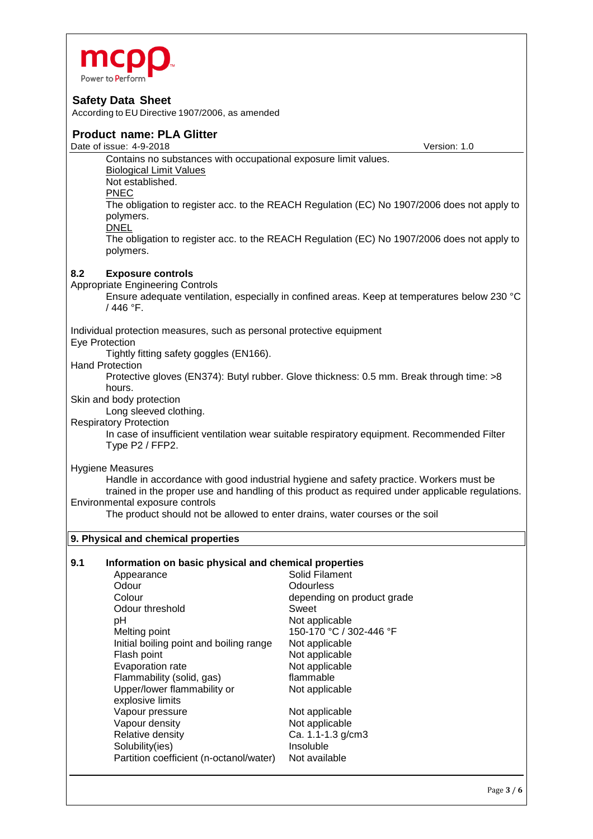

According to EU Directive 1907/2006, as amended

# **Product name: PLA Glitter** Date of issue: 4-9-2018 Version: 1.0 Contains no substances with occupational exposure limit values. Biological Limit Values Not established. PNEC The obligation to register acc. to the REACH Regulation (EC) No 1907/2006 does not apply to polymers. DNEL The obligation to register acc. to the REACH Regulation (EC) No 1907/2006 does not apply to polymers. **8.2 Exposure controls**  Appropriate Engineering Controls Ensure adequate ventilation, especially in confined areas. Keep at temperatures below 230 °C / 446 °F. Individual protection measures, such as personal protective equipment Eye Protection Tightly fitting safety goggles (EN166). Hand Protection Protective gloves (EN374): Butyl rubber. Glove thickness: 0.5 mm. Break through time: >8 hours. Skin and body protection Long sleeved clothing. Respiratory Protection In case of insufficient ventilation wear suitable respiratory equipment. Recommended Filter Type P2 / FFP2. Hygiene Measures Handle in accordance with good industrial hygiene and safety practice. Workers must be trained in the proper use and handling of this product as required under applicable regulations. Environmental exposure controls The product should not be allowed to enter drains, water courses or the soil **9. Physical and chemical properties 9.1 Information on basic physical and chemical properties** Appearance Solid Filament<br>
Odour<br>
Odourless Odour Odourless depending on product grade Odour threshold Sweet pH Not applicable Melting point 150-170 °C / 302-446 °F Initial boiling point and boiling range Not applicable Flash point Not applicable Evaporation rate Not applicable Flammability (solid, gas) flammable Upper/lower flammability or Not applicable

explosive limits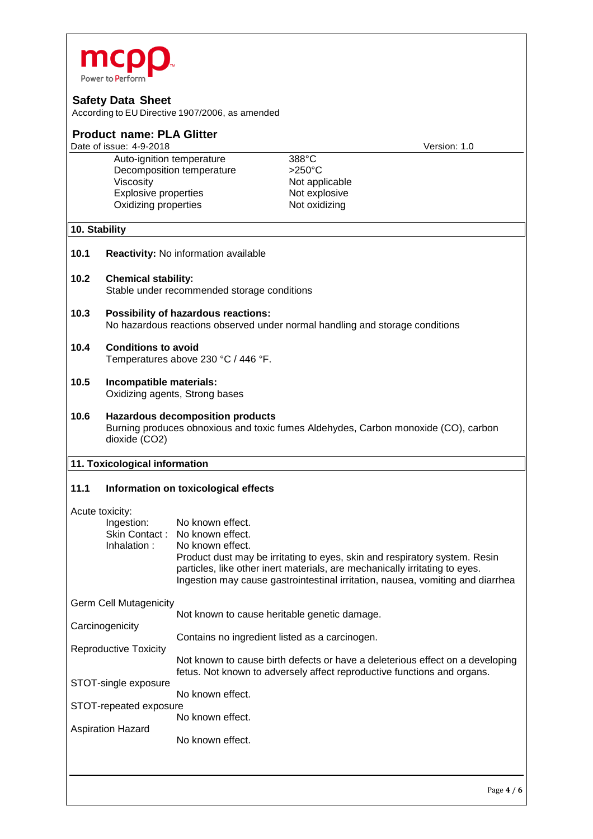

Aspiration Hazard

No known effect.

According to EU Directive 1907/2006, as amended

| <b>Product name: PLA Glitter</b><br>Date of issue: 4-9-2018<br>Version: 1.0 |                                                                                                                                                |                                                |                                                                                                                                                                                                                                             |  |  |  |  |
|-----------------------------------------------------------------------------|------------------------------------------------------------------------------------------------------------------------------------------------|------------------------------------------------|---------------------------------------------------------------------------------------------------------------------------------------------------------------------------------------------------------------------------------------------|--|--|--|--|
|                                                                             | Auto-ignition temperature                                                                                                                      |                                                | $388^{\circ}$ C                                                                                                                                                                                                                             |  |  |  |  |
|                                                                             | Decomposition temperature                                                                                                                      |                                                | $>250^{\circ}$ C                                                                                                                                                                                                                            |  |  |  |  |
|                                                                             | Viscosity                                                                                                                                      |                                                | Not applicable                                                                                                                                                                                                                              |  |  |  |  |
|                                                                             | <b>Explosive properties</b>                                                                                                                    |                                                | Not explosive                                                                                                                                                                                                                               |  |  |  |  |
|                                                                             | Oxidizing properties                                                                                                                           |                                                | Not oxidizing                                                                                                                                                                                                                               |  |  |  |  |
| 10. Stability                                                               |                                                                                                                                                |                                                |                                                                                                                                                                                                                                             |  |  |  |  |
| 10.1                                                                        | Reactivity: No information available                                                                                                           |                                                |                                                                                                                                                                                                                                             |  |  |  |  |
| 10.2                                                                        | <b>Chemical stability:</b><br>Stable under recommended storage conditions                                                                      |                                                |                                                                                                                                                                                                                                             |  |  |  |  |
| 10.3                                                                        | Possibility of hazardous reactions:<br>No hazardous reactions observed under normal handling and storage conditions                            |                                                |                                                                                                                                                                                                                                             |  |  |  |  |
| 10.4                                                                        | <b>Conditions to avoid</b><br>Temperatures above 230 °C / 446 °F.                                                                              |                                                |                                                                                                                                                                                                                                             |  |  |  |  |
| 10.5                                                                        | Incompatible materials:<br>Oxidizing agents, Strong bases                                                                                      |                                                |                                                                                                                                                                                                                                             |  |  |  |  |
| 10.6                                                                        | <b>Hazardous decomposition products</b><br>Burning produces obnoxious and toxic fumes Aldehydes, Carbon monoxide (CO), carbon<br>dioxide (CO2) |                                                |                                                                                                                                                                                                                                             |  |  |  |  |
| 11. Toxicological information                                               |                                                                                                                                                |                                                |                                                                                                                                                                                                                                             |  |  |  |  |
| 11.1                                                                        | Information on toxicological effects                                                                                                           |                                                |                                                                                                                                                                                                                                             |  |  |  |  |
| Acute toxicity:<br>Ingestion:<br>Skin Contact:                              |                                                                                                                                                | No known effect.<br>No known effect.           |                                                                                                                                                                                                                                             |  |  |  |  |
|                                                                             | Inhalation:                                                                                                                                    | No known effect.                               | Product dust may be irritating to eyes, skin and respiratory system. Resin<br>particles, like other inert materials, are mechanically irritating to eyes.<br>Ingestion may cause gastrointestinal irritation, nausea, vomiting and diarrhea |  |  |  |  |
|                                                                             | <b>Germ Cell Mutagenicity</b>                                                                                                                  |                                                |                                                                                                                                                                                                                                             |  |  |  |  |
| Carcinogenicity                                                             |                                                                                                                                                | Not known to cause heritable genetic damage.   |                                                                                                                                                                                                                                             |  |  |  |  |
| <b>Reproductive Toxicity</b>                                                |                                                                                                                                                | Contains no ingredient listed as a carcinogen. |                                                                                                                                                                                                                                             |  |  |  |  |
|                                                                             |                                                                                                                                                |                                                | Not known to cause birth defects or have a deleterious effect on a developing<br>fetus. Not known to adversely affect reproductive functions and organs.                                                                                    |  |  |  |  |
| STOT-single exposure<br>No known effect.                                    |                                                                                                                                                |                                                |                                                                                                                                                                                                                                             |  |  |  |  |
| STOT-repeated exposure                                                      |                                                                                                                                                |                                                |                                                                                                                                                                                                                                             |  |  |  |  |
|                                                                             | No known effect.                                                                                                                               |                                                |                                                                                                                                                                                                                                             |  |  |  |  |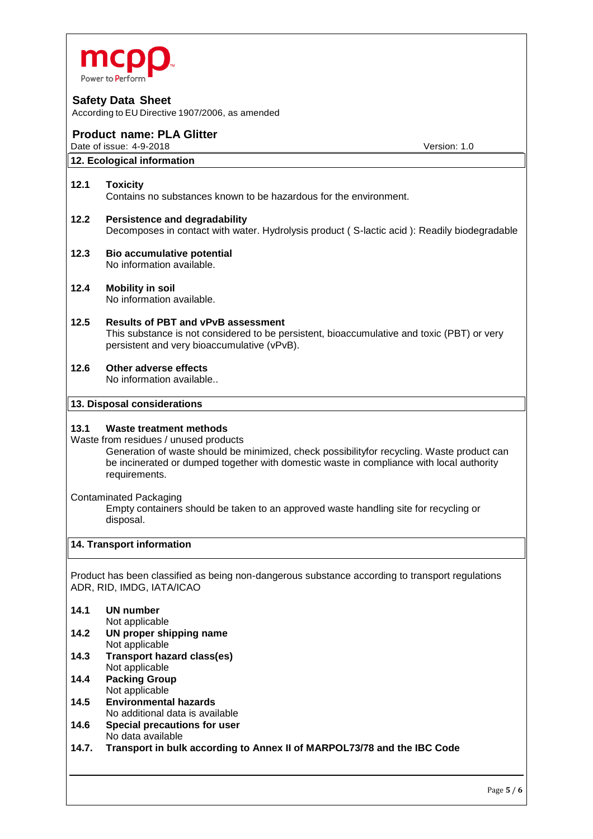

According to EU Directive 1907/2006, as amended

# **Product name: PLA Glitter**

Date of issue: 4-9-2018 **Date of issue: 4-9-2018** Version: 1.0

## **12. Ecological information**

#### **12.1 Toxicity**

Contains no substances known to be hazardous for the environment.

- **12.2 Persistence and degradability** Decomposes in contact with water. Hydrolysis product ( S-lactic acid ): Readily biodegradable
- **12.3 Bio accumulative potential** No information available.
- **12.4 Mobility in soil** No information available.
- **12.5 Results of PBT and vPvB assessment** This substance is not considered to be persistent, bioaccumulative and toxic (PBT) or very persistent and very bioaccumulative (vPvB).
- **12.6 Other adverse effects** No information available..

#### **13. Disposal considerations**

#### **13.1 Waste treatment methods**

Waste from residues / unused products

Generation of waste should be minimized, check possibilityfor recycling. Waste product can be incinerated or dumped together with domestic waste in compliance with local authority requirements.

Contaminated Packaging

Empty containers should be taken to an approved waste handling site for recycling or disposal.

#### **14. Transport information**

Product has been classified as being non-dangerous substance according to transport regulations ADR, RID, IMDG, IATA/ICAO

#### **14.1 UN number**

Not applicable

- **14.2 UN proper shipping name** Not applicable
- **14.3 Transport hazard class(es)** Not applicable
- **14.4 Packing Group** Not applicable
- **14.5 Environmental hazards** No additional data is available
- **14.6 Special precautions for user** No data available
- **14.7. Transport in bulk according to Annex II of MARPOL73/78 and the IBC Code**